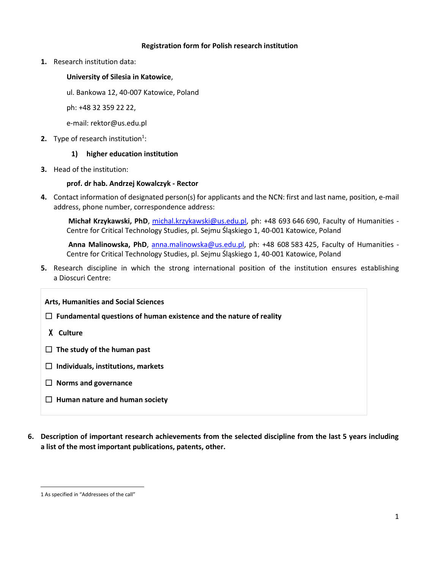#### **Registration form for Polish research institution**

**1.** Research institution data:

## **University of Silesia in Katowice**,

ul. Bankowa 12, 40-007 Katowice, Poland

ph: +48 32 359 22 22,

e-mail: rektor@us.edu.pl

**2.** Type of research institution<sup>1</sup>:

### **1) higher education institution**

**3.** Head of the institution:

### **prof. dr hab. Andrzej Kowalczyk - Rector**

**4.** Contact information of designated person(s) for applicants and the NCN: first and last name, position, e-mail address, phone number, correspondence address:

**Michał Krzykawski, PhD**, [michal.krzykawski@us.edu.pl,](mailto:michal.krzykawski@us.edu.pl) ph: +48 693 646 690, Faculty of Humanities - Centre for Critical Technology Studies, pl. Sejmu Śląskiego 1, 40-001 Katowice, Poland

Anna Malinowska, PhD, [anna.malinowska@us.edu.pl,](mailto:anna.malinowska@us.edu.pl) ph: +48 608 583 425, Faculty of Humanities -Centre for Critical Technology Studies, pl. Sejmu Śląskiego 1, 40-001 Katowice, Poland

**5.** Research discipline in which the strong international position of the institution ensures establishing a Dioscuri Centre:

**Arts, Humanities and Social Sciences**

☐ **Fundamental questions of human existence and the nature of reality**

X **Culture**

☐ **The study of the human past**

☐ **Individuals, institutions, markets**

- ☐ **Norms and governance**
- ☐ **Human nature and human society**
- **6. Description of important research achievements from the selected discipline from the last 5 years including a list of the most important publications, patents, other.**

 $\overline{\phantom{a}}$ 

<sup>1</sup> As specified in "Addressees of the call"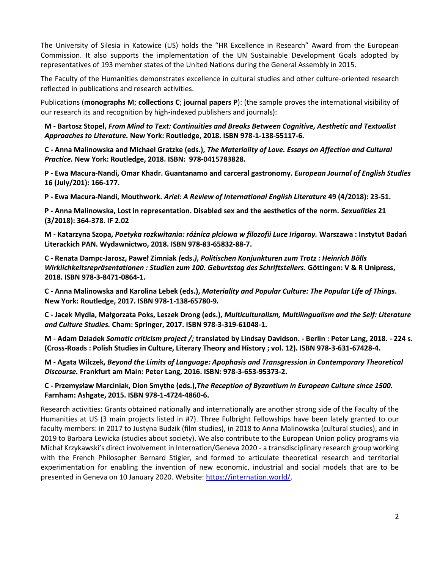The University of Silesia in Katowice (US) holds the "HR Excellence in Research" Award from the European Commission. It also supports the implementation of the UN Sustainable Development Goals adopted by representatives of 193 member states of the United Nations during the General Assembly in 2015.

The Faculty of the Humanities demonstrates excellence in cultural studies and other culture-oriented research reflected in publications and research activities.

Publications (**monographs M**; **collections C**; **journal papers P**): (the sample proves the international visibility of our research its and recognition by high-indexed publishers and journals):

**M - Bartosz Stopel,** *From Mind to Text: Continuities and Breaks Between Cognitive, Aesthetic and Textualist Approaches to Literature.* **New York: Routledge, 2018. ISBN 978-1-138-55117-6.**

**C - Anna Malinowska and Michael Gratzke (eds.),** *The Materiality of Love. Essays on Affection and Cultural Practice.* **New York: Routledge, 2018. ISBN: 978-0415783828.**

**P - Ewa Macura-Nandi, Omar Khadr. Guantanamo and carceral gastronomy.** *European Journal of English Studies*  **16 (July/201): 166-177.** 

**P - Ewa Macura-Nandi, Mouthwork.** *Ariel: A Review of International English Literature* **49 (4/2018): 23-51.**

**P - Anna Malinowska, Lost in representation. Disabled sex and the aesthetics of the norm.** *Sexualities* **21 (3/2018): 364-378. IF 2.02**

**M - Katarzyna Szopa,** *Poetyka rozkwitania: różnica płciowa w filozofii Luce Irigaray.* **Warszawa : Instytut Badań Literackich PAN. Wydawnictwo, 2018. ISBN 978-83-65832-88-7.**

**C - Renata Dampc-Jarosz, Paweł Zimniak** *(***eds.***)***,** *Politischen Konjunkturen zum Trotz : Heinrich Bölls Wirklichkeitsrepräsentationen : Studien zum 100. Geburtstag des Schriftstellers.* **Göttingen: V & R Unipress, 2018. ISBN 978-3-8471-0864-1.**

**C - Anna Malinowska and Karolina Lebek (eds.),** *Materiality and Popular Culture: The Popular Life of Things***. New York: Routledge, 2017. ISBN 978-1-138-65780-9.** 

**C - Jacek Mydla, Małgorzata Poks, Leszek Drong (eds.),** *Multiculturalism, Multilingualism and the Self: Literature and Culture Studies.* **Cham: Springer, 2017. ISBN 978-3-319-61048-1.**

**M - Adam Dziadek** *Somatic criticism project /;* **translated by Lindsay Davidson. - Berlin : Peter Lang, 2018. - 224 s. (Cross-Roads : Polish Studies in Culture, Literary Theory and History ; vol. 12). ISBN 978-3-631-67428-4.**

**M - Agata Wilczek,** *Beyond the Limits of Language: Apophasis and Transgression in Contemporary Theoretical Discourse.* **Frankfurt am Main: Peter Lang, 2016. ISBN: 978-3-653-95373-2.**

**C - Przemysław Marciniak, Dion Smythe (eds.),***The Reception of Byzantium in European Culture since 1500.*  **Farnham: Ashgate, 2015. ISBN 978-1-4724-4860-6.**

Research activities: Grants obtained nationally and internationally are another strong side of the Faculty of the Humanities at US (3 main projects listed in #7). Three Fulbright Fellowships have been lately granted to our faculty members: in 2017 to Justyna Budzik (film studies), in 2018 to Anna Malinowska (cultural studies), and in 2019 to Barbara Lewicka (studies about society). We also contribute to the European Union policy programs via Michał Krzykawski's direct involvement in Internation/Geneva 2020 - a transdisciplinary research group working with the French Philosopher Bernard Stigler, and formed to articulate theoretical research and territorial experimentation for enabling the invention of new economic, industrial and social models that are to be presented in Geneva on 10 January 2020. Website[: https://internation.world/.](https://internation.world/)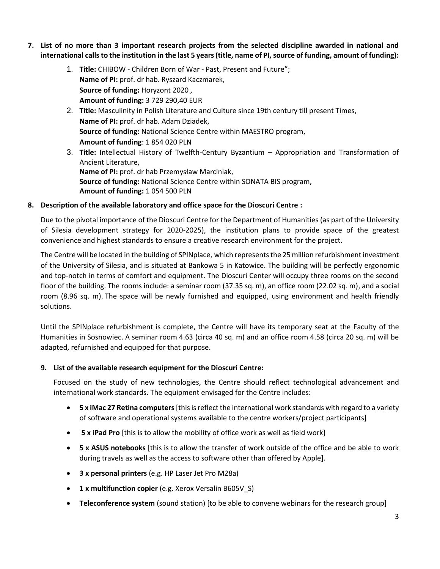- **7. List of no more than 3 important research projects from the selected discipline awarded in national and international calls to the institution in the last 5 years (title, name of PI, source of funding, amount of funding):**
	- 1. **Title:** CHIBOW Children Born of War Past, Present and Future"; **Name of PI:** prof. dr hab. Ryszard Kaczmarek, **Source of funding:** Horyzont 2020 , **Amount of funding:** 3 729 290,40 EUR
	- 2. **Title:** Masculinity in Polish Literature and Culture since 19th century till present Times, **Name of PI:** prof. dr hab. Adam Dziadek, **Source of funding:** National Science Centre within MAESTRO program, **Amount of funding**: 1 854 020 PLN
	- 3. **Title:** Intellectual History of Twelfth-Century Byzantium Appropriation and Transformation of Ancient Literature, **Name of PI:** prof. dr hab Przemysław Marciniak, **Source of funding:** National Science Centre within SONATA BIS program, **Amount of funding:** 1 054 500 PLN

## **8. Description of the available laboratory and office space for the Dioscuri Centre :**

Due to the pivotal importance of the Dioscuri Centre for the Department of Humanities (as part of the University of Silesia development strategy for 2020-2025), the institution plans to provide space of the greatest convenience and highest standards to ensure a creative research environment for the project.

The Centre will be located in the building of SPINplace, which represents the 25 million refurbishment investment of the University of Silesia, and is situated at Bankowa 5 in Katowice. The building will be perfectly ergonomic and top-notch in terms of comfort and equipment. The Dioscuri Center will occupy three rooms on the second floor of the building. The rooms include: a seminar room (37.35 sq. m), an office room (22.02 sq. m), and a social room (8.96 sq. m). The space will be newly furnished and equipped, using environment and health friendly solutions.

Until the SPINplace refurbishment is complete, the Centre will have its temporary seat at the Faculty of the Humanities in Sosnowiec. A seminar room 4.63 (circa 40 sq. m) and an office room 4.58 (circa 20 sq. m) will be adapted, refurnished and equipped for that purpose.

#### **9. List of the available research equipment for the Dioscuri Centre:**

Focused on the study of new technologies, the Centre should reflect technological advancement and international work standards. The equipment envisaged for the Centre includes:

- **5 x iMac 27 Retina computers**[this is reflect the international work standards with regard to a variety of software and operational systems available to the centre workers/project participants]
- **5 x iPad Pro** [this is to allow the mobility of office work as well as field work]
- **5 x ASUS notebooks** [this is to allow the transfer of work outside of the office and be able to work during travels as well as the access to software other than offered by Apple].
- **3 x personal printers** (e.g. HP Laser Jet Pro M28a)
- **1 x multifunction copier** (e.g. Xerox Versalin B605V\_S)
- **Teleconference system** (sound station) [to be able to convene webinars for the research group]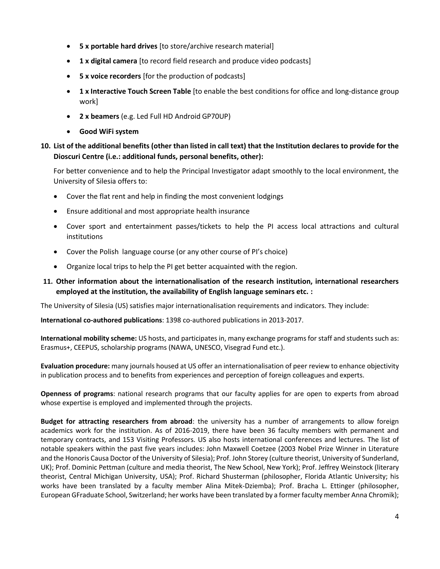- **5 x portable hard drives** [to store/archive research material]
- **1 x digital camera** [to record field research and produce video podcasts]
- **5 x voice recorders** [for the production of podcasts]
- **1 x Interactive Touch Screen Table** [to enable the best conditions for office and long-distance group work]
- **2 x beamers** (e.g. Led Full HD Android GP70UP)
- **Good WiFi system**

# **10. List of the additional benefits (other than listed in call text) that the Institution declares to provide for the Dioscuri Centre (i.e.: additional funds, personal benefits, other):**

For better convenience and to help the Principal Investigator adapt smoothly to the local environment, the University of Silesia offers to:

- Cover the flat rent and help in finding the most convenient lodgings
- Ensure additional and most appropriate health insurance
- Cover sport and entertainment passes/tickets to help the PI access local attractions and cultural institutions
- Cover the Polish language course (or any other course of PI's choice)
- Organize local trips to help the PI get better acquainted with the region.

# **11. Other information about the internationalisation of the research institution, international researchers employed at the institution, the availability of English language seminars etc. :**

The University of Silesia (US) satisfies major internationalisation requirements and indicators. They include:

**International co-authored publications**: 1398 co-authored publications in 2013-2017.

**International mobility scheme:** US hosts, and participates in, many exchange programs for staff and students such as: Erasmus+, CEEPUS, scholarship programs (NAWA, UNESCO, Visegrad Fund etc.).

**Evaluation procedure:** many journals housed at US offer an internationalisation of peer review to enhance objectivity in publication process and to benefits from experiences and perception of foreign colleagues and experts.

**Openness of programs**: national research programs that our faculty applies for are open to experts from abroad whose expertise is employed and implemented through the projects.

**Budget for attracting researchers from abroad**: the university has a number of arrangements to allow foreign academics work for the institution. As of 2016-2019, there have been 36 faculty members with permanent and temporary contracts, and 153 Visiting Professors. US also hosts international conferences and lectures. The list of notable speakers within the past five years includes: John Maxwell Coetzee (2003 Nobel Prize Winner in Literature and the Honoris Causa Doctor of the University of Silesia); Prof. John Storey (culture theorist, University of Sunderland, UK); Prof. Dominic Pettman (culture and media theorist, The New School, New York); Prof. Jeffrey Weinstock (literary theorist, Central Michigan University, USA); Prof. Richard Shusterman (philosopher, Florida Atlantic University; his works have been translated by a faculty member Alina Mitek-Dziemba); Prof. Bracha L. Ettinger (philosopher, European GFraduate School, Switzerland; her works have been translated by a former faculty member Anna Chromik);